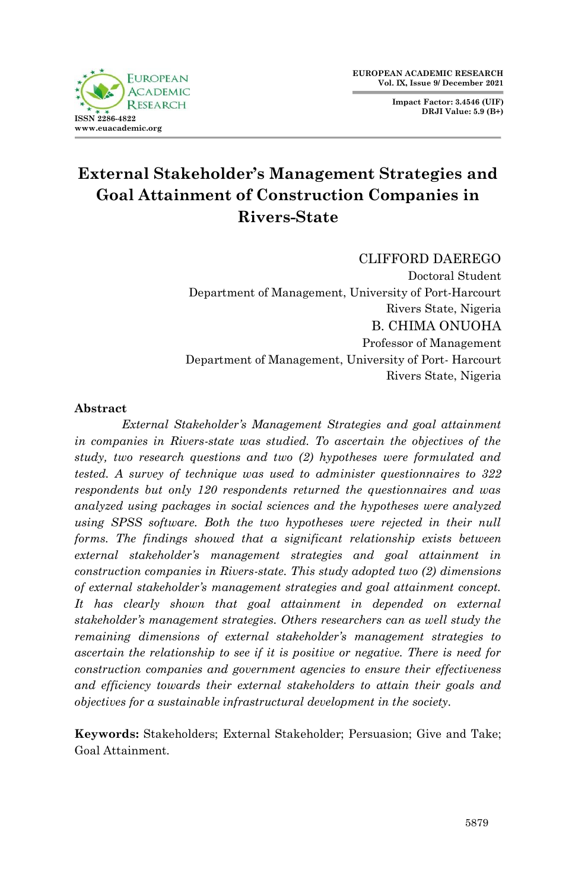**Impact Factor: 3.4546 (UIF) DRJI Value: 5.9 (B+)**



# **External Stakeholder's Management Strategies and Goal Attainment of Construction Companies in Rivers-State**

CLIFFORD DAEREGO

Doctoral Student Department of Management, University of Port-Harcourt Rivers State, Nigeria B. CHIMA ONUOHA Professor of Management Department of Management, University of Port- Harcourt Rivers State, Nigeria

# **Abstract**

*External Stakeholder's Management Strategies and goal attainment in companies in Rivers-state was studied. To ascertain the objectives of the study, two research questions and two (2) hypotheses were formulated and tested. A survey of technique was used to administer questionnaires to 322 respondents but only 120 respondents returned the questionnaires and was analyzed using packages in social sciences and the hypotheses were analyzed using SPSS software. Both the two hypotheses were rejected in their null forms. The findings showed that a significant relationship exists between external stakeholder's management strategies and goal attainment in construction companies in Rivers-state. This study adopted two (2) dimensions of external stakeholder's management strategies and goal attainment concept. It has clearly shown that goal attainment in depended on external stakeholder's management strategies. Others researchers can as well study the remaining dimensions of external stakeholder's management strategies to ascertain the relationship to see if it is positive or negative. There is need for construction companies and government agencies to ensure their effectiveness and efficiency towards their external stakeholders to attain their goals and objectives for a sustainable infrastructural development in the society.*

**Keywords:** Stakeholders; External Stakeholder; Persuasion; Give and Take; Goal Attainment.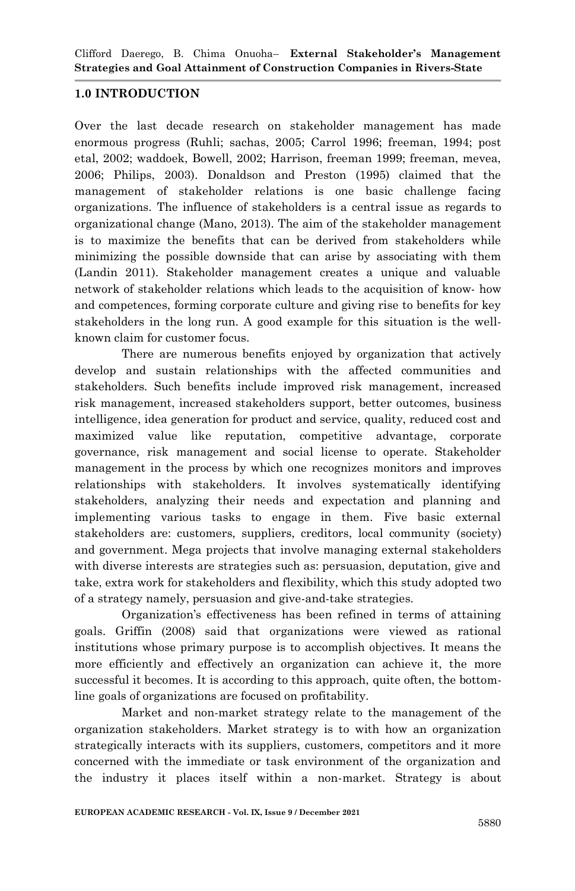# **1.0 INTRODUCTION**

Over the last decade research on stakeholder management has made enormous progress (Ruhli; sachas, 2005; Carrol 1996; freeman, 1994; post etal, 2002; waddoek, Bowell, 2002; Harrison, freeman 1999; freeman, mevea, 2006; Philips, 2003). Donaldson and Preston (1995) claimed that the management of stakeholder relations is one basic challenge facing organizations. The influence of stakeholders is a central issue as regards to organizational change (Mano, 2013). The aim of the stakeholder management is to maximize the benefits that can be derived from stakeholders while minimizing the possible downside that can arise by associating with them (Landin 2011). Stakeholder management creates a unique and valuable network of stakeholder relations which leads to the acquisition of know- how and competences, forming corporate culture and giving rise to benefits for key stakeholders in the long run. A good example for this situation is the wellknown claim for customer focus.

There are numerous benefits enjoyed by organization that actively develop and sustain relationships with the affected communities and stakeholders. Such benefits include improved risk management, increased risk management, increased stakeholders support, better outcomes, business intelligence, idea generation for product and service, quality, reduced cost and maximized value like reputation, competitive advantage, corporate governance, risk management and social license to operate. Stakeholder management in the process by which one recognizes monitors and improves relationships with stakeholders. It involves systematically identifying stakeholders, analyzing their needs and expectation and planning and implementing various tasks to engage in them. Five basic external stakeholders are: customers, suppliers, creditors, local community (society) and government. Mega projects that involve managing external stakeholders with diverse interests are strategies such as: persuasion, deputation, give and take, extra work for stakeholders and flexibility, which this study adopted two of a strategy namely, persuasion and give-and-take strategies.

Organization"s effectiveness has been refined in terms of attaining goals. Griffin (2008) said that organizations were viewed as rational institutions whose primary purpose is to accomplish objectives. It means the more efficiently and effectively an organization can achieve it, the more successful it becomes. It is according to this approach, quite often, the bottomline goals of organizations are focused on profitability.

Market and non-market strategy relate to the management of the organization stakeholders. Market strategy is to with how an organization strategically interacts with its suppliers, customers, competitors and it more concerned with the immediate or task environment of the organization and the industry it places itself within a non-market. Strategy is about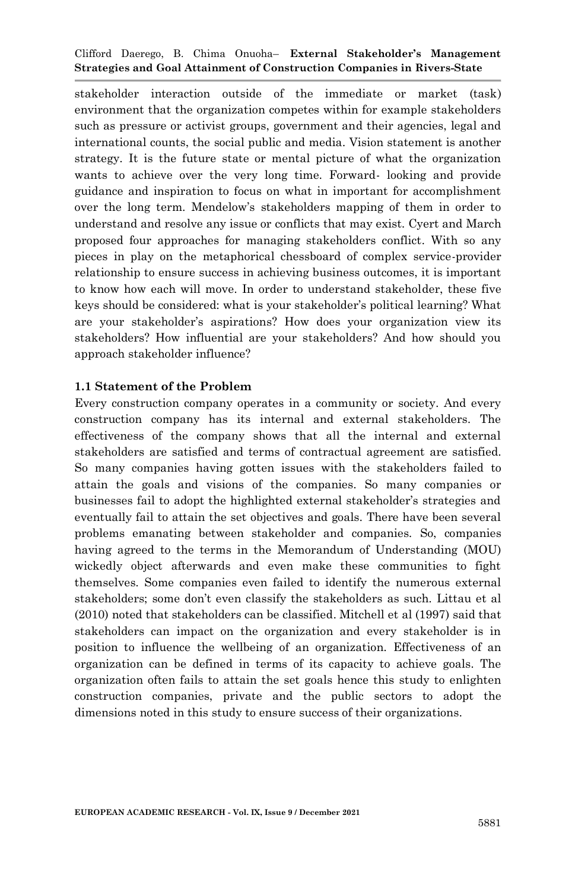stakeholder interaction outside of the immediate or market (task) environment that the organization competes within for example stakeholders such as pressure or activist groups, government and their agencies, legal and international counts, the social public and media. Vision statement is another strategy. It is the future state or mental picture of what the organization wants to achieve over the very long time. Forward- looking and provide guidance and inspiration to focus on what in important for accomplishment over the long term. Mendelow"s stakeholders mapping of them in order to understand and resolve any issue or conflicts that may exist. Cyert and March proposed four approaches for managing stakeholders conflict. With so any pieces in play on the metaphorical chessboard of complex service-provider relationship to ensure success in achieving business outcomes, it is important to know how each will move. In order to understand stakeholder, these five keys should be considered: what is your stakeholder"s political learning? What are your stakeholder"s aspirations? How does your organization view its stakeholders? How influential are your stakeholders? And how should you approach stakeholder influence?

### **1.1 Statement of the Problem**

Every construction company operates in a community or society. And every construction company has its internal and external stakeholders. The effectiveness of the company shows that all the internal and external stakeholders are satisfied and terms of contractual agreement are satisfied. So many companies having gotten issues with the stakeholders failed to attain the goals and visions of the companies. So many companies or businesses fail to adopt the highlighted external stakeholder"s strategies and eventually fail to attain the set objectives and goals. There have been several problems emanating between stakeholder and companies. So, companies having agreed to the terms in the Memorandum of Understanding (MOU) wickedly object afterwards and even make these communities to fight themselves. Some companies even failed to identify the numerous external stakeholders; some don"t even classify the stakeholders as such. Littau et al (2010) noted that stakeholders can be classified. Mitchell et al (1997) said that stakeholders can impact on the organization and every stakeholder is in position to influence the wellbeing of an organization. Effectiveness of an organization can be defined in terms of its capacity to achieve goals. The organization often fails to attain the set goals hence this study to enlighten construction companies, private and the public sectors to adopt the dimensions noted in this study to ensure success of their organizations.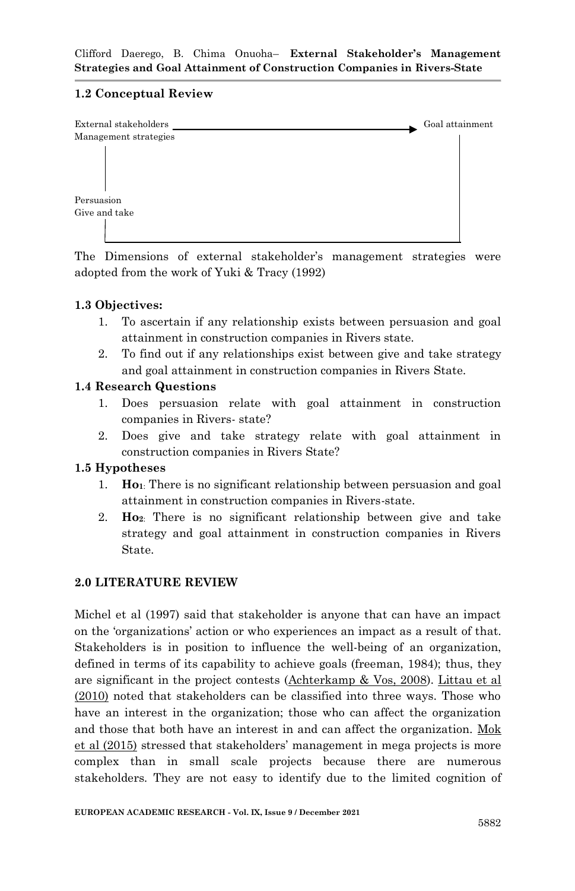# **1.2 Conceptual Review**



The Dimensions of external stakeholder's management strategies were adopted from the work of Yuki & Tracy (1992)

# **1.3 Objectives:**

- 1. To ascertain if any relationship exists between persuasion and goal attainment in construction companies in Rivers state.
- 2. To find out if any relationships exist between give and take strategy and goal attainment in construction companies in Rivers State.

# **1.4 Research Questions**

- 1. Does persuasion relate with goal attainment in construction companies in Rivers- state?
- 2. Does give and take strategy relate with goal attainment in construction companies in Rivers State?

# **1.5 Hypotheses**

- 1. **Ho1**: There is no significant relationship between persuasion and goal attainment in construction companies in Rivers-state.
- 2. **Ho2**: There is no significant relationship between give and take strategy and goal attainment in construction companies in Rivers State.

# **2.0 LITERATURE REVIEW**

Michel et al (1997) said that stakeholder is anyone that can have an impact on the "organizations" action or who experiences an impact as a result of that. Stakeholders is in position to influence the well-being of an organization, defined in terms of its capability to achieve goals (freeman, 1984); thus, they are significant in the project contests (Achterkamp & Vos, 2008). Littau et al (2010) noted that stakeholders can be classified into three ways. Those who have an interest in the organization; those who can affect the organization and those that both have an interest in and can affect the organization. Mok et al (2015) stressed that stakeholders" management in mega projects is more complex than in small scale projects because there are numerous stakeholders. They are not easy to identify due to the limited cognition of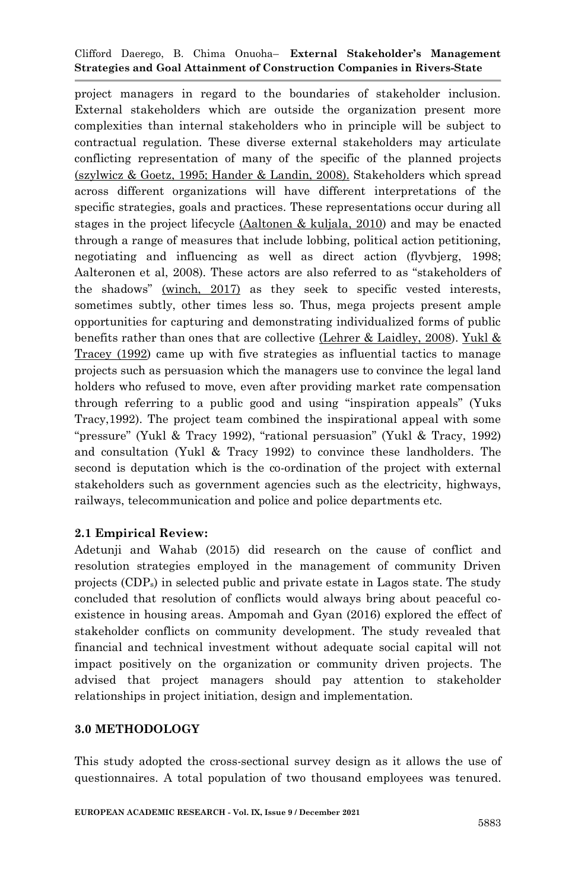project managers in regard to the boundaries of stakeholder inclusion. External stakeholders which are outside the organization present more complexities than internal stakeholders who in principle will be subject to contractual regulation. These diverse external stakeholders may articulate conflicting representation of many of the specific of the planned projects (szylwicz & Goetz, 1995; Hander & Landin, 2008). Stakeholders which spread across different organizations will have different interpretations of the specific strategies, goals and practices. These representations occur during all stages in the project lifecycle (Aaltonen & kuljala, 2010) and may be enacted through a range of measures that include lobbing, political action petitioning, negotiating and influencing as well as direct action (flyvbjerg, 1998; Aalteronen et al, 2008). These actors are also referred to as "stakeholders of the shadows" (winch, 2017) as they seek to specific vested interests, sometimes subtly, other times less so. Thus, mega projects present ample opportunities for capturing and demonstrating individualized forms of public benefits rather than ones that are collective (Lehrer & Laidley, 2008). Yukl & Tracey (1992) came up with five strategies as influential tactics to manage projects such as persuasion which the managers use to convince the legal land holders who refused to move, even after providing market rate compensation through referring to a public good and using "inspiration appeals" (Yuks Tracy,1992). The project team combined the inspirational appeal with some "pressure" (Yukl & Tracy 1992), "rational persuasion" (Yukl & Tracy, 1992) and consultation (Yukl & Tracy 1992) to convince these landholders. The second is deputation which is the co-ordination of the project with external stakeholders such as government agencies such as the electricity, highways, railways, telecommunication and police and police departments etc.

#### **2.1 Empirical Review:**

Adetunji and Wahab (2015) did research on the cause of conflict and resolution strategies employed in the management of community Driven projects (CDPs) in selected public and private estate in Lagos state. The study concluded that resolution of conflicts would always bring about peaceful coexistence in housing areas. Ampomah and Gyan (2016) explored the effect of stakeholder conflicts on community development. The study revealed that financial and technical investment without adequate social capital will not impact positively on the organization or community driven projects. The advised that project managers should pay attention to stakeholder relationships in project initiation, design and implementation.

#### **3.0 METHODOLOGY**

This study adopted the cross-sectional survey design as it allows the use of questionnaires. A total population of two thousand employees was tenured.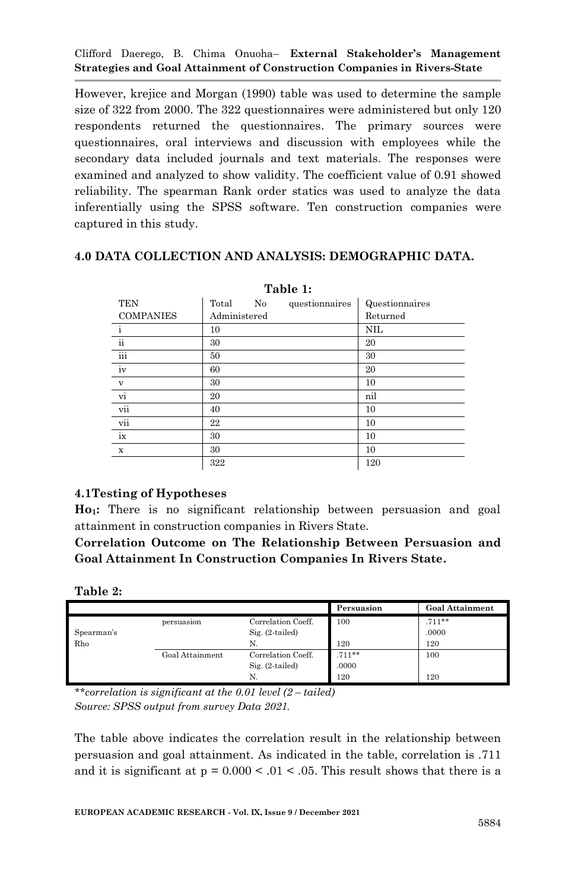However, krejice and Morgan (1990) table was used to determine the sample size of 322 from 2000. The 322 questionnaires were administered but only 120 respondents returned the questionnaires. The primary sources were questionnaires, oral interviews and discussion with employees while the secondary data included journals and text materials. The responses were examined and analyzed to show validity. The coefficient value of 0.91 showed reliability. The spearman Rank order statics was used to analyze the data inferentially using the SPSS software. Ten construction companies were captured in this study.

### **4.0 DATA COLLECTION AND ANALYSIS: DEMOGRAPHIC DATA.**

| - - - - - - -    |              |                |                |  |  |  |  |
|------------------|--------------|----------------|----------------|--|--|--|--|
| <b>TEN</b>       | Total<br>No  | questionnaires | Questionnaires |  |  |  |  |
| <b>COMPANIES</b> | Administered |                | Returned       |  |  |  |  |
| $\mathbf{i}$     | 10           |                | <b>NIL</b>     |  |  |  |  |
| $\rm ii$         | 30           |                | 20             |  |  |  |  |
| iii              | 50           |                | 30             |  |  |  |  |
| iv               | 60           |                | 20             |  |  |  |  |
| $\mathbf v$      | 30           |                | 10             |  |  |  |  |
| $\overline{vi}$  | 20           |                | nil            |  |  |  |  |
| vii              | 40           |                | 10             |  |  |  |  |
| vii              | 22           |                | 10             |  |  |  |  |
| ix               | 30           |                | 10             |  |  |  |  |
| $\mathbf x$      | 30           |                | 10             |  |  |  |  |
|                  | 322          |                | 120            |  |  |  |  |

**Table 1:**

#### **4.1Testing of Hypotheses**

**Ho1:** There is no significant relationship between persuasion and goal attainment in construction companies in Rivers State.

**Correlation Outcome on The Relationship Between Persuasion and Goal Attainment In Construction Companies In Rivers State.**

**Table 2:**

|            |                 |                    | Persuasion | <b>Goal Attainment</b> |
|------------|-----------------|--------------------|------------|------------------------|
|            | persuasion      | Correlation Coeff. | 100        | $.711**$               |
| Spearman's |                 | $Sig. (2-tailed)$  |            | .0000                  |
| Rho        |                 | N                  | 120        | 120                    |
|            | Goal Attainment | Correlation Coeff. | $.711***$  | 100                    |
|            |                 | $Sig. (2-tailed)$  | .0000      |                        |
|            |                 | N.                 | 120        | 120                    |

*\*\*correlation is significant at the 0.01 level (2 – tailed) Source: SPSS output from survey Data 2021.* 

The table above indicates the correlation result in the relationship between persuasion and goal attainment. As indicated in the table, correlation is .711 and it is significant at  $p = 0.000 < 0.01 < 0.05$ . This result shows that there is a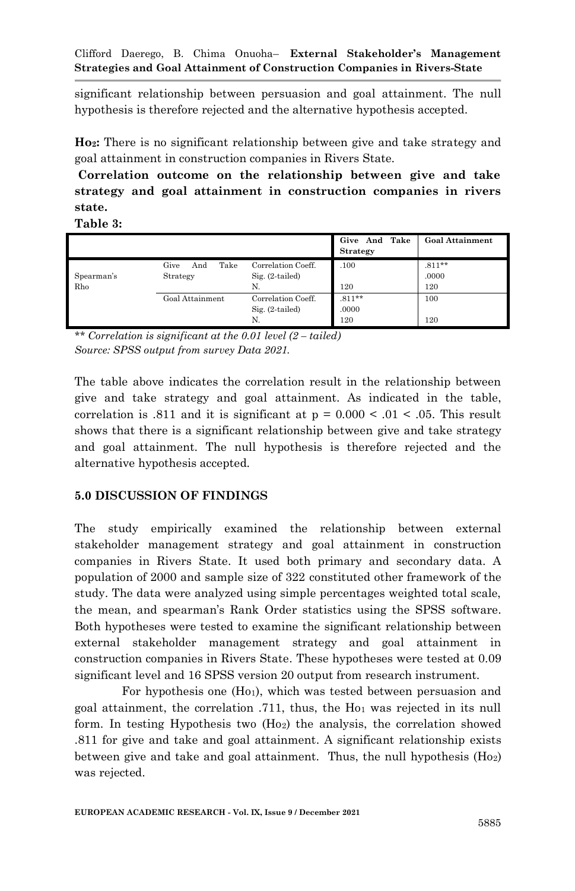significant relationship between persuasion and goal attainment. The null hypothesis is therefore rejected and the alternative hypothesis accepted.

**Ho2:** There is no significant relationship between give and take strategy and goal attainment in construction companies in Rivers State.

**Correlation outcome on the relationship between give and take strategy and goal attainment in construction companies in rivers state.**

**Table 3:**

|                   |                                 |                                               | Give And Take<br><b>Strategy</b> | <b>Goal Attainment</b>    |
|-------------------|---------------------------------|-----------------------------------------------|----------------------------------|---------------------------|
| Spearman's<br>Rho | Take<br>Give<br>And<br>Strategy | Correlation Coeff.<br>$Sig. (2-tailed)$<br>N. | .100<br>120                      | $.811***$<br>.0000<br>120 |
|                   | Goal Attainment                 | Correlation Coeff.<br>$Sig. (2-tailed)$<br>N. | $.811***$<br>.0000<br>120        | 100<br>120                |

*\*\* Correlation is significant at the 0.01 level (2 – tailed) Source: SPSS output from survey Data 2021.* 

The table above indicates the correlation result in the relationship between give and take strategy and goal attainment. As indicated in the table, correlation is .811 and it is significant at  $p = 0.000 \lt 0.01 \lt 0.05$ . This result shows that there is a significant relationship between give and take strategy and goal attainment. The null hypothesis is therefore rejected and the alternative hypothesis accepted.

# **5.0 DISCUSSION OF FINDINGS**

The study empirically examined the relationship between external stakeholder management strategy and goal attainment in construction companies in Rivers State. It used both primary and secondary data. A population of 2000 and sample size of 322 constituted other framework of the study. The data were analyzed using simple percentages weighted total scale, the mean, and spearman"s Rank Order statistics using the SPSS software. Both hypotheses were tested to examine the significant relationship between external stakeholder management strategy and goal attainment in construction companies in Rivers State. These hypotheses were tested at 0.09 significant level and 16 SPSS version 20 output from research instrument.

For hypothesis one  $(H<sub>01</sub>)$ , which was tested between persuasion and goal attainment, the correlation  $.711$ , thus, the  $Ho<sub>1</sub>$  was rejected in its null form. In testing Hypothesis two  $(H_0<sub>2</sub>)$  the analysis, the correlation showed .811 for give and take and goal attainment. A significant relationship exists between give and take and goal attainment. Thus, the null hypothesis  $(H_0<sub>2</sub>)$ was rejected.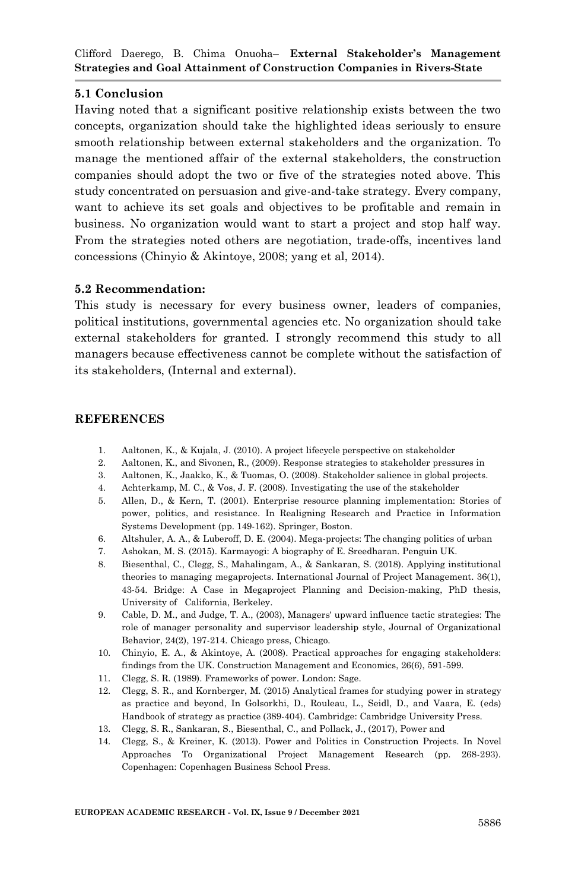# **5.1 Conclusion**

Having noted that a significant positive relationship exists between the two concepts, organization should take the highlighted ideas seriously to ensure smooth relationship between external stakeholders and the organization. To manage the mentioned affair of the external stakeholders, the construction companies should adopt the two or five of the strategies noted above. This study concentrated on persuasion and give-and-take strategy. Every company, want to achieve its set goals and objectives to be profitable and remain in business. No organization would want to start a project and stop half way. From the strategies noted others are negotiation, trade-offs, incentives land concessions (Chinyio & Akintoye, 2008; yang et al, 2014).

#### **5.2 Recommendation:**

This study is necessary for every business owner, leaders of companies, political institutions, governmental agencies etc. No organization should take external stakeholders for granted. I strongly recommend this study to all managers because effectiveness cannot be complete without the satisfaction of its stakeholders, (Internal and external).

#### **REFERENCES**

- 1. Aaltonen, K., & Kujala, J. (2010). A project lifecycle perspective on stakeholder
- 2. Aaltonen, K., and Sivonen, R., (2009). Response strategies to stakeholder pressures in
- 3. Aaltonen, K., Jaakko, K., & Tuomas, O. (2008). Stakeholder salience in global projects.
- 4. Achterkamp, M. C., & Vos, J. F. (2008). Investigating the use of the stakeholder
- 5. Allen, D., & Kern, T. (2001). Enterprise resource planning implementation: Stories of power, politics, and resistance. In Realigning Research and Practice in Information Systems Development (pp. 149-162). Springer, Boston.
- 6. Altshuler, A. A., & Luberoff, D. E. (2004). Mega-projects: The changing politics of urban
- 7. Ashokan, M. S. (2015). Karmayogi: A biography of E. Sreedharan. Penguin UK.
- 8. Biesenthal, C., Clegg, S., Mahalingam, A., & Sankaran, S. (2018). Applying institutional theories to managing megaprojects. International Journal of Project Management. 36(1), 43-54. Bridge: A Case in Megaproject Planning and Decision-making, PhD thesis, University of California, Berkeley.
- 9. Cable, D. M., and Judge, T. A., (2003), Managers' upward influence tactic strategies: The role of manager personality and supervisor leadership style, Journal of Organizational Behavior, 24(2), 197-214. Chicago press, Chicago.
- 10. Chinyio, E. A., & Akintoye, A. (2008). Practical approaches for engaging stakeholders: findings from the UK. Construction Management and Economics, 26(6), 591-599.
- 11. Clegg, S. R. (1989). Frameworks of power. London: Sage.
- 12. Clegg, S. R., and Kornberger, M. (2015) Analytical frames for studying power in strategy as practice and beyond, In Golsorkhi, D., Rouleau, L., Seidl, D., and Vaara, E. (eds) Handbook of strategy as practice (389-404). Cambridge: Cambridge University Press.
- 13. Clegg, S. R., Sankaran, S., Biesenthal, C., and Pollack, J., (2017), Power and
- 14. Clegg, S., & Kreiner, K. (2013). Power and Politics in Construction Projects. In Novel Approaches To Organizational Project Management Research (pp. 268-293). Copenhagen: Copenhagen Business School Press.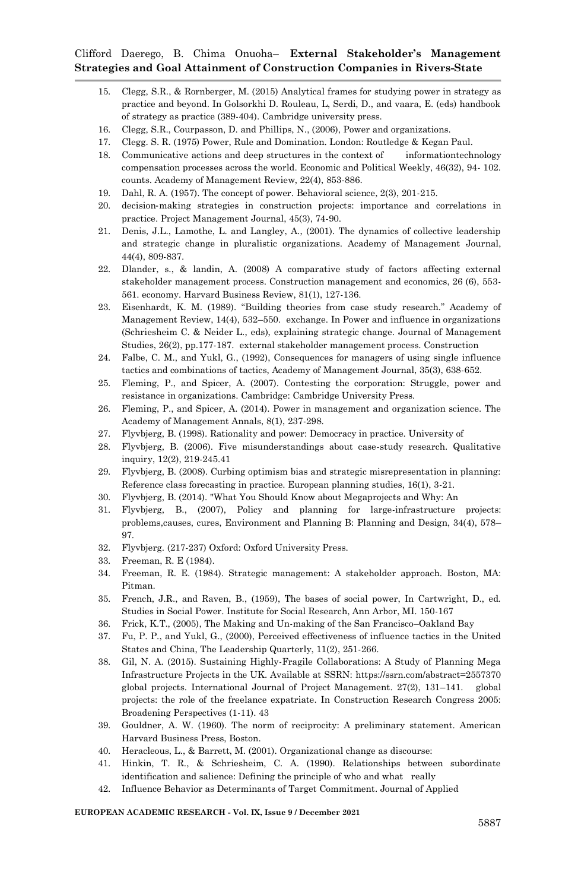- 15. Clegg, S.R., & Rornberger, M. (2015) Analytical frames for studying power in strategy as practice and beyond. In Golsorkhi D. Rouleau, L, Serdi, D., and vaara, E. (eds) handbook of strategy as practice (389-404). Cambridge university press.
- 16. Clegg, S.R., Courpasson, D. and Phillips, N., (2006), Power and organizations.
- 17. Clegg. S. R. (1975) Power, Rule and Domination. London: Routledge & Kegan Paul.
- 18. Communicative actions and deep structures in the context of informationtechnology compensation processes across the world. Economic and Political Weekly, 46(32), 94- 102. counts. Academy of Management Review, 22(4), 853-886.
- 19. Dahl, R. A. (1957). The concept of power. Behavioral science, 2(3), 201-215.
- 20. decision‐making strategies in construction projects: importance and correlations in practice. Project Management Journal, 45(3), 74-90.
- 21. Denis, J.L., Lamothe, L. and Langley, A., (2001). The dynamics of collective leadership and strategic change in pluralistic organizations. Academy of Management Journal, 44(4), 809-837.
- 22. Dlander, s., & landin, A. (2008) A comparative study of factors affecting external stakeholder management process. Construction management and economics, 26 (6), 553- 561. economy. Harvard Business Review, 81(1), 127-136.
- 23. Eisenhardt, K. M. (1989). "Building theories from case study research." Academy of Management Review, 14(4), 532–550. exchange. In Power and influence in organizations (Schriesheim C. & Neider L., eds), explaining strategic change. Journal of Management Studies, 26(2), pp.177-187. external stakeholder management process. Construction
- 24. Falbe, C. M., and Yukl, G., (1992), Consequences for managers of using single influence tactics and combinations of tactics, Academy of Management Journal, 35(3), 638-652.
- 25. Fleming, P., and Spicer, A. (2007). Contesting the corporation: Struggle, power and resistance in organizations. Cambridge: Cambridge University Press.
- 26. Fleming, P., and Spicer, A. (2014). Power in management and organization science. The Academy of Management Annals, 8(1), 237-298.
- 27. Flyvbjerg, B. (1998). Rationality and power: Democracy in practice. University of
- 28. Flyvbjerg, B. (2006). Five misunderstandings about case-study research. Qualitative inquiry, 12(2), 219-245.41
- 29. Flyvbjerg, B. (2008). Curbing optimism bias and strategic misrepresentation in planning: Reference class forecasting in practice. European planning studies, 16(1), 3-21.
- 30. Flyvbjerg, B. (2014). "What You Should Know about Megaprojects and Why: An
- 31. Flyvbjerg, B., (2007), Policy and planning for large-infrastructure projects: problems,causes, cures, Environment and Planning B: Planning and Design, 34(4), 578– 97.
- 32. Flyvbjerg. (217-237) Oxford: Oxford University Press.
- 33. Freeman, R. E (1984).
- 34. Freeman, R. E. (1984). Strategic management: A stakeholder approach. Boston, MA: Pitman.
- 35. French, J.R., and Raven, B., (1959), The bases of social power, In Cartwright, D., ed. Studies in Social Power. Institute for Social Research, Ann Arbor, MI. 150-167
- 36. Frick, K.T., (2005), The Making and Un-making of the San Francisco–Oakland Bay
- 37. Fu, P. P., and Yukl, G., (2000), Perceived effectiveness of influence tactics in the United States and China, The Leadership Quarterly, 11(2), 251-266.
- 38. Gil, N. A. (2015). Sustaining Highly-Fragile Collaborations: A Study of Planning Mega Infrastructure Projects in the UK. Available at SSRN: https://ssrn.com/abstract=2557370 global projects. International Journal of Project Management. 27(2), 131–141. global projects: the role of the freelance expatriate. In Construction Research Congress 2005: Broadening Perspectives (1-11). 43
- 39. Gouldner, A. W. (1960). The norm of reciprocity: A preliminary statement. American Harvard Business Press, Boston.
- 40. Heracleous, L., & Barrett, M. (2001). Organizational change as discourse:
- 41. Hinkin, T. R., & Schriesheim, C. A. (1990). Relationships between subordinate identification and salience: Defining the principle of who and what really
- 42. Influence Behavior as Determinants of Target Commitment. Journal of Applied

#### **EUROPEAN ACADEMIC RESEARCH - Vol. IX, Issue 9 / December 2021**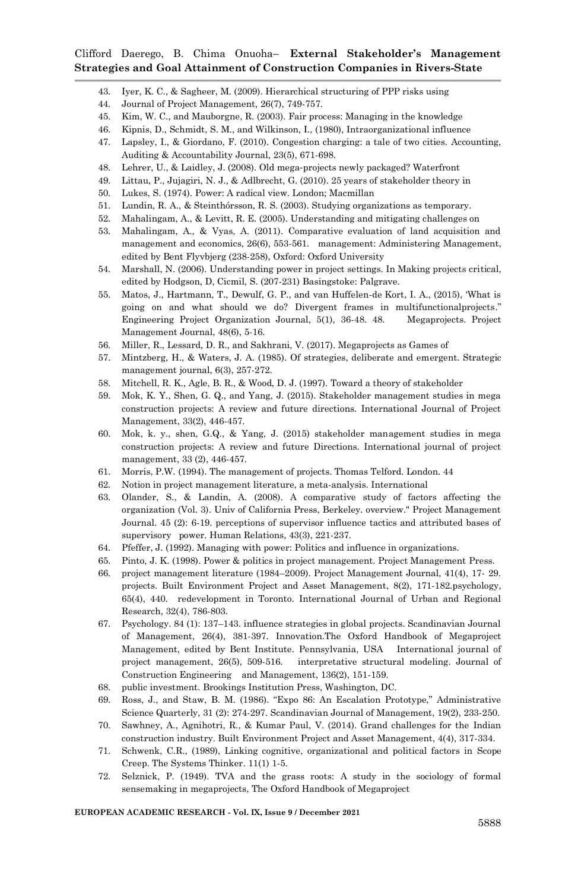- 43. Iyer, K. C., & Sagheer, M. (2009). Hierarchical structuring of PPP risks using
- 44. Journal of Project Management, 26(7), 749-757.
- 45. Kim, W. C., and Mauborgne, R. (2003). Fair process: Managing in the knowledge
- 46. Kipnis, D., Schmidt, S. M., and Wilkinson, I., (1980), Intraorganizational influence
- 47. Lapsley, I., & Giordano, F. (2010). Congestion charging: a tale of two cities. Accounting, Auditing & Accountability Journal, 23(5), 671-698.
- 48. Lehrer, U., & Laidley, J. (2008). Old mega‐projects newly packaged? Waterfront
- 49. Littau, P., Jujagiri, N. J., & Adlbrecht, G. (2010). 25 years of stakeholder theory in
- 50. Lukes, S. (1974). Power: A radical view. London; Macmillan
- 51. Lundin, R. A., & Steinthórsson, R. S. (2003). Studying organizations as temporary.
- 52. Mahalingam, A., & Levitt, R. E. (2005). Understanding and mitigating challenges on
- 53. Mahalingam, A., & Vyas, A. (2011). Comparative evaluation of land acquisition and management and economics, 26(6), 553-561. management: Administering Management, edited by Bent Flyvbjerg (238-258), Oxford: Oxford University
- 54. Marshall, N. (2006). Understanding power in project settings. In Making projects critical, edited by Hodgson, D, Cicmil, S. (207-231) Basingstoke: Palgrave.
- 55. Matos, J., Hartmann, T., Dewulf, G. P., and van Huffelen-de Kort, I. A., (2015), "What is going on and what should we do? Divergent frames in multifunctionalprojects." Engineering Project Organization Journal, 5(1), 36-48. 48. Megaprojects. Project Management Journal, 48(6), 5-16.
- 56. Miller, R., Lessard, D. R., and Sakhrani, V. (2017). Megaprojects as Games of
- 57. Mintzberg, H., & Waters, J. A. (1985). Of strategies, deliberate and emergent. Strategic management journal, 6(3), 257-272.
- 58. Mitchell, R. K., Agle, B. R., & Wood, D. J. (1997). Toward a theory of stakeholder
- 59. Mok, K. Y., Shen, G. Q., and Yang, J. (2015). Stakeholder management studies in mega construction projects: A review and future directions. International Journal of Project Management, 33(2), 446-457.
- 60. Mok, k. y., shen, G.Q., & Yang, J. (2015) stakeholder management studies in mega construction projects: A review and future Directions. International journal of project management, 33 (2), 446-457.
- 61. Morris, P.W. (1994). The management of projects. Thomas Telford. London. 44
- 62. Notion in project management literature, a meta-analysis. International
- 63. Olander, S., & Landin, A. (2008). A comparative study of factors affecting the organization (Vol. 3). Univ of California Press, Berkeley. overview." Project Management Journal. 45 (2): 6-19. perceptions of supervisor influence tactics and attributed bases of supervisory power. Human Relations, 43(3), 221-237.
- 64. Pfeffer, J. (1992). Managing with power: Politics and influence in organizations.
- 65. Pinto, J. K. (1998). Power & politics in project management. Project Management Press.
- 66. project management literature (1984–2009). Project Management Journal, 41(4), 17- 29. projects. Built Environment Project and Asset Management, 8(2), 171-182.psychology, 65(4), 440. redevelopment in Toronto. International Journal of Urban and Regional Research, 32(4), 786-803.
- 67. Psychology. 84 (1): 137–143. influence strategies in global projects. Scandinavian Journal of Management, 26(4), 381-397. Innovation.The Oxford Handbook of Megaproject Management, edited by Bent Institute. Pennsylvania, USA International journal of project management, 26(5), 509-516. interpretative structural modeling. Journal of Construction Engineering and Management, 136(2), 151-159.
- 68. public investment. Brookings Institution Press, Washington, DC.
- 69. Ross, J., and Staw, B. M. (1986). "Expo 86: An Escalation Prototype," Administrative Science Quarterly, 31 (2): 274-297. Scandinavian Journal of Management, 19(2), 233-250.
- 70. Sawhney, A., Agnihotri, R., & Kumar Paul, V. (2014). Grand challenges for the Indian construction industry. Built Environment Project and Asset Management, 4(4), 317-334.
- 71. Schwenk, C.R., (1989), Linking cognitive, organizational and political factors in Scope Creep. The Systems Thinker. 11(1) 1-5.
- 72. Selznick, P. (1949). TVA and the grass roots: A study in the sociology of formal sensemaking in megaprojects, The Oxford Handbook of Megaproject

**EUROPEAN ACADEMIC RESEARCH - Vol. IX, Issue 9 / December 2021**